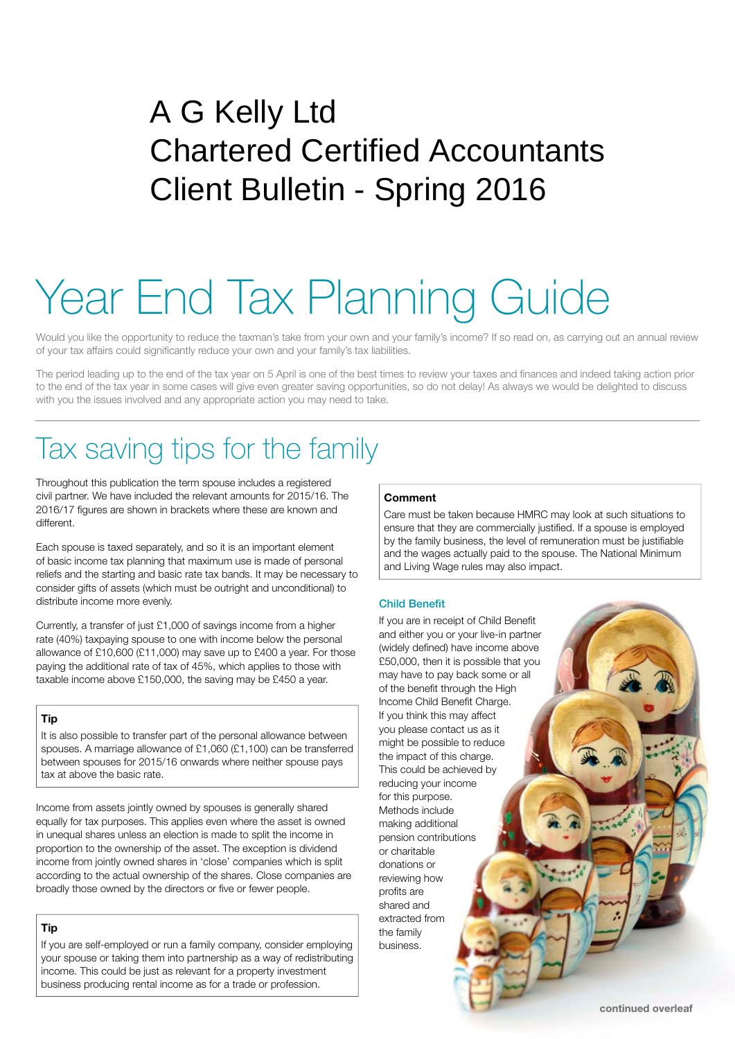# A G Kelly Ltd Chartered Certified Accountants Client Bulletin - Spring 2016

# Year End Tax Planning Guide

Would you like the opportunity to reduce the taxman's take from your own and your family's income? If so read on, as carrying out an annual review of your tax affairs could significantly reduce your own and your family's tax liabilities.

The period leading up to the end of the tax year on 5 April is one of the best times to review your taxes and finances and indeed taking action prior to the end of the tax year in some cases will give even greater saving opportunities, so do not delay! As always we would be delighted to discuss with you the issues involved and any appropriate action you may need to take.

# Tax saving tips for the family

Throughout this publication the term spouse includes a registered civil partner. We have included the relevant amounts for 2015/16. The 2016/17 figures are shown in brackets where these are known and different.

Each spouse is taxed separately, and so it is an important element of basic income tax planning that maximum use is made of personal reliefs and the starting and basic rate tax bands. It may be necessary to consider gifts of assets (which must be outright and unconditional) to distribute income more evenly.

Currently, a transfer of just £1,000 of savings income from a higher rate (40%) taxpaying spouse to one with income below the personal allowance of £10,600 (£11,000) may save up to £400 a year. For those paying the additional rate of tax of 45%, which applies to those with taxable income above £150,000, the saving may be £450 a year.

#### **Tip**

It is also possible to transfer part of the personal allowance between spouses. A marriage allowance of £1,060 (£1,100) can be transferred between spouses for 2015/16 onwards where neither spouse pays tax at above the basic rate.

Income from assets jointly owned by spouses is generally shared equally for tax purposes. This applies even where the asset is owned in unequal shares unless an election is made to split the income in proportion to the ownership of the asset. The exception is dividend income from jointly owned shares in 'close' companies which is split according to the actual ownership of the shares. Close companies are broadly those owned by the directors or five or fewer people.

#### **Tip**

If you are self-employed or run a family company, consider employing your spouse or taking them into partnership as a way of redistributing income. This could be just as relevant for a property investment business producing rental income as for a trade or profession.

#### **Comment**

Care must be taken because HMRC may look at such situations to ensure that they are commercially justified. If a spouse is employed by the family business, the level of remuneration must be justifiable and the wages actually paid to the spouse. The National Minimum and Living Wage rules may also impact.

#### **Child Benefit**

If you are in receipt of Child Benefit and either you or your live-in partner (widely defined) have income above £50,000, then it is possible that you may have to pay back some or all of the benefit through the High Income Child Benefit Charge. If you think this may affect you please contact us as it might be possible to reduce the impact of this charge. This could be achieved by reducing your income for this purpose. Methods include making additional pension contributions or charitable donations or reviewing how profits are shared and extracted from the family business.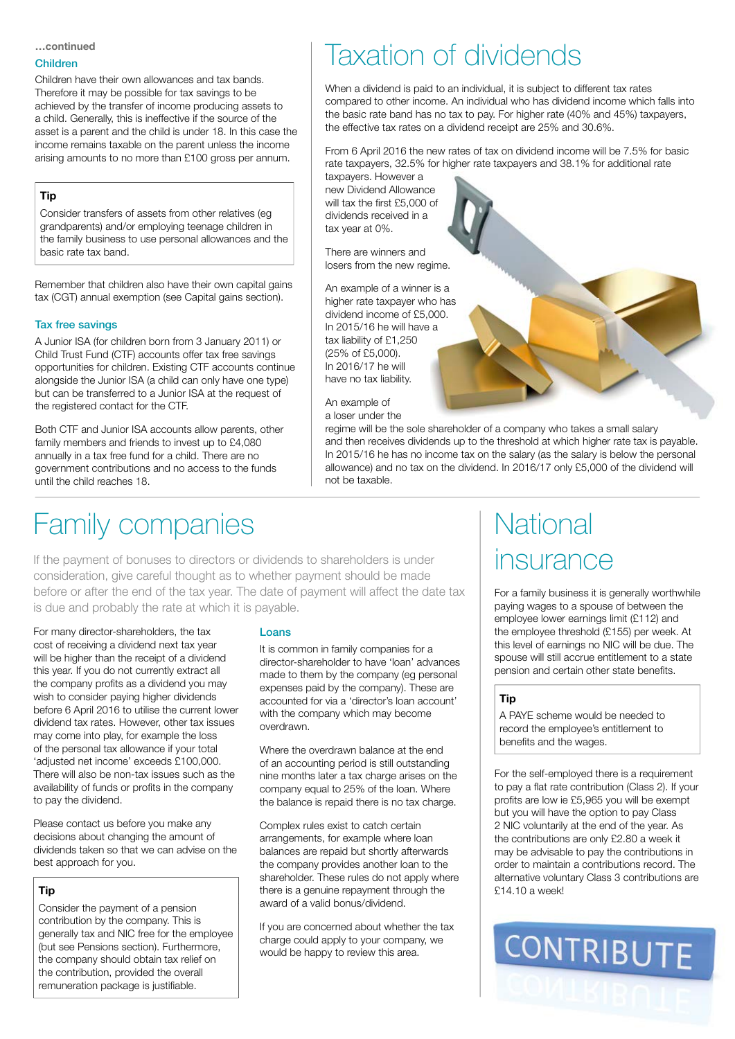**…continued**

#### Children

Children have their own allowances and tax bands. Therefore it may be possible for tax savings to be achieved by the transfer of income producing assets to a child. Generally, this is ineffective if the source of the asset is a parent and the child is under 18. In this case the income remains taxable on the parent unless the income arising amounts to no more than £100 gross per annum.

#### **Tip**

Consider transfers of assets from other relatives (eg grandparents) and/or employing teenage children in the family business to use personal allowances and the basic rate tax band.

Remember that children also have their own capital gains tax (CGT) annual exemption (see Capital gains section).

#### Tax free savings

A Junior ISA (for children born from 3 January 2011) or Child Trust Fund (CTF) accounts offer tax free savings opportunities for children. Existing CTF accounts continue alongside the Junior ISA (a child can only have one type) but can be transferred to a Junior ISA at the request of the registered contact for the CTF.

Both CTF and Junior ISA accounts allow parents, other family members and friends to invest up to £4,080 annually in a tax free fund for a child. There are no government contributions and no access to the funds until the child reaches 18.

# Taxation of dividends

When a dividend is paid to an individual, it is subject to different tax rates compared to other income. An individual who has dividend income which falls into the basic rate band has no tax to pay. For higher rate (40% and 45%) taxpayers, the effective tax rates on a dividend receipt are 25% and 30.6%.

From 6 April 2016 the new rates of tax on dividend income will be 7.5% for basic rate taxpayers, 32.5% for higher rate taxpayers and 38.1% for additional rate

taxpayers. However a new Dividend Allowance will tax the first £5,000 of dividends received in a tax year at 0%.

There are winners and losers from the new regime.

An example of a winner is a higher rate taxpayer who has dividend income of £5,000. In 2015/16 he will have a tax liability of £1,250 (25% of £5,000). In 2016/17 he will have no tax liability.

An example of a loser under the

regime will be the sole shareholder of a company who takes a small salary and then receives dividends up to the threshold at which higher rate tax is payable. In 2015/16 he has no income tax on the salary (as the salary is below the personal allowance) and no tax on the dividend. In 2016/17 only £5,000 of the dividend will not be taxable.

### Family companies

If the payment of bonuses to directors or dividends to shareholders is under consideration, give careful thought as to whether payment should be made before or after the end of the tax year. The date of payment will affect the date tax is due and probably the rate at which it is payable.

For many director-shareholders, the tax cost of receiving a dividend next tax year will be higher than the receipt of a dividend this year. If you do not currently extract all the company profits as a dividend you may wish to consider paying higher dividends before 6 April 2016 to utilise the current lower dividend tax rates. However, other tax issues may come into play, for example the loss of the personal tax allowance if your total 'adjusted net income' exceeds £100,000. There will also be non-tax issues such as the availability of funds or profits in the company to pay the dividend.

Please contact us before you make any decisions about changing the amount of dividends taken so that we can advise on the best approach for you.

#### **Tip**

Consider the payment of a pension contribution by the company. This is generally tax and NIC free for the employee (but see Pensions section). Furthermore, the company should obtain tax relief on the contribution, provided the overall remuneration package is justifiable.

#### Loans

It is common in family companies for a director-shareholder to have 'loan' advances made to them by the company (eg personal expenses paid by the company). These are accounted for via a 'director's loan account' with the company which may become overdrawn.

Where the overdrawn balance at the end of an accounting period is still outstanding nine months later a tax charge arises on the company equal to 25% of the loan. Where the balance is repaid there is no tax charge.

 Complex rules exist to catch certain arrangements, for example where loan balances are repaid but shortly afterwards the company provides another loan to the shareholder. These rules do not apply where there is a genuine repayment through the award of a valid bonus/dividend.

If you are concerned about whether the tax charge could apply to your company, we would be happy to review this area.

## **National** insurance

For a family business it is generally worthwhile paying wages to a spouse of between the employee lower earnings limit (£112) and the employee threshold (£155) per week. At this level of earnings no NIC will be due. The spouse will still accrue entitlement to a state pension and certain other state benefits.

#### **Tip**

A PAYE scheme would be needed to record the employee's entitlement to benefits and the wages.

For the self-employed there is a requirement to pay a flat rate contribution (Class 2). If your profits are low ie £5,965 you will be exempt but you will have the option to pay Class 2 NIC voluntarily at the end of the year. As the contributions are only £2.80 a week it may be advisable to pay the contributions in order to maintain a contributions record. The alternative voluntary Class 3 contributions are £14.10 a week!

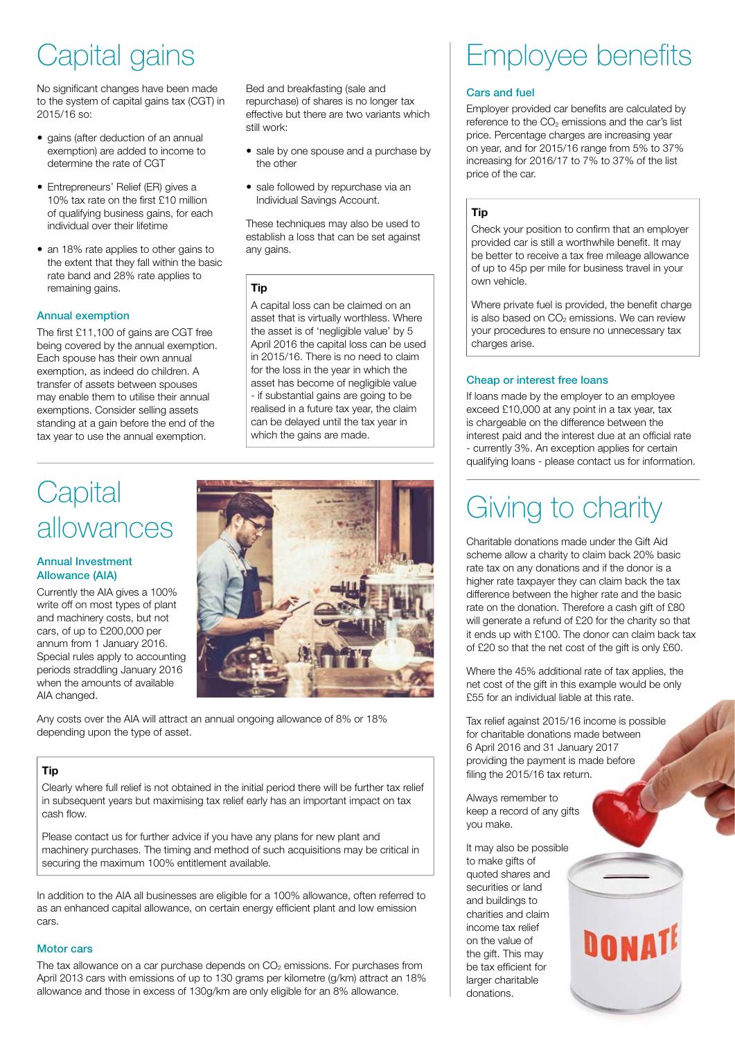# Capital gains

No significant changes have been made to the system of capital gains tax (CGT) in 2015/16 so:

- gains (after deduction of an annual exemption) are added to income to determine the rate of CGT
- Entrepreneurs' Relief (ER) gives a 10% tax rate on the first £10 million of qualifying business gains, for each individual over their lifetime
- an 18% rate applies to other gains to the extent that they fall within the basic rate band and 28% rate applies to remaining gains.

#### Annual exemption

The first £11,100 of gains are CGT free being covered by the annual exemption. Each spouse has their own annual exemption, as indeed do children. A transfer of assets between spouses may enable them to utilise their annual exemptions. Consider selling assets standing at a gain before the end of the tax year to use the annual exemption.

Bed and breakfasting (sale and repurchase) of shares is no longer tax effective but there are two variants which still work:

- sale by one spouse and a purchase by the other
- sale followed by repurchase via an Individual Savings Account.

These techniques may also be used to establish a loss that can be set against any gains.

#### **Tip**

A capital loss can be claimed on an asset that is virtually worthless. Where the asset is of 'negligible value' by 5 April 2016 the capital loss can be used in 2015/16. There is no need to claim for the loss in the year in which the asset has become of negligible value - if substantial gains are going to be realised in a future tax year, the claim can be delayed until the tax year in which the gains are made.

### **Capital** allowances

#### Annual Investment Allowance (AIA)

Currently the AIA gives a 100% write off on most types of plant and machinery costs, but not cars, of up to £200,000 per annum from 1 January 2016. Special rules apply to accounting periods straddling January 2016 when the amounts of available AIA changed.



Any costs over the AIA will attract an annual ongoing allowance of 8% or 18% depending upon the type of asset.

#### **Tip**

Clearly where full relief is not obtained in the initial period there will be further tax relief in subsequent years but maximising tax relief early has an important impact on tax cash flow.

Please contact us for further advice if you have any plans for new plant and machinery purchases. The timing and method of such acquisitions may be critical in securing the maximum 100% entitlement available.

In addition to the AIA all businesses are eligible for a 100% allowance, often referred to as an enhanced capital allowance, on certain energy efficient plant and low emission cars.

#### Motor cars

The tax allowance on a car purchase depends on  $CO<sub>2</sub>$  emissions. For purchases from April 2013 cars with emissions of up to 130 grams per kilometre (g/km) attract an 18% allowance and those in excess of 130g/km are only eligible for an 8% allowance.

# Employee benefits

#### **Cars and fuel**

Employer provided car benefits are calculated by reference to the  $CO<sub>2</sub>$  emissions and the car's list price. Percentage charges are increasing year on year, and for 2015/16 range from 5% to 37% increasing for 2016/17 to 7% to 37% of the list price of the car.

#### **Tip**

Check your position to confirm that an employer provided car is still a worthwhile benefit. It may be better to receive a tax free mileage allowance of up to 45p per mile for business travel in your own vehicle.

Where private fuel is provided, the benefit charge is also based on  $CO<sub>2</sub>$  emissions. We can review your procedures to ensure no unnecessary tax charges arise.

#### Cheap or interest free loans

If loans made by the employer to an employee exceed £10,000 at any point in a tax year, tax is chargeable on the difference between the interest paid and the interest due at an official rate - currently 3%. An exception applies for certain qualifying loans - please contact us for information.

### Giving to charity

Charitable donations made under the Gift Aid scheme allow a charity to claim back 20% basic rate tax on any donations and if the donor is a higher rate taxpayer they can claim back the tax difference between the higher rate and the basic rate on the donation. Therefore a cash gift of £80 will generate a refund of £20 for the charity so that it ends up with £100. The donor can claim back tax of £20 so that the net cost of the gift is only £60.

Where the 45% additional rate of tax applies, the net cost of the gift in this example would be only £55 for an individual liable at this rate.

Tax relief against 2015/16 income is possible for charitable donations made between 6 April 2016 and 31 January 2017 providing the payment is made before filing the 2015/16 tax return.

Always remember to keep a record of any gifts you make.

It may also be possible to make gifts of quoted shares and securities or land and buildings to charities and claim income tax relief on the value of the gift. This may be tax efficient for larger charitable donations.